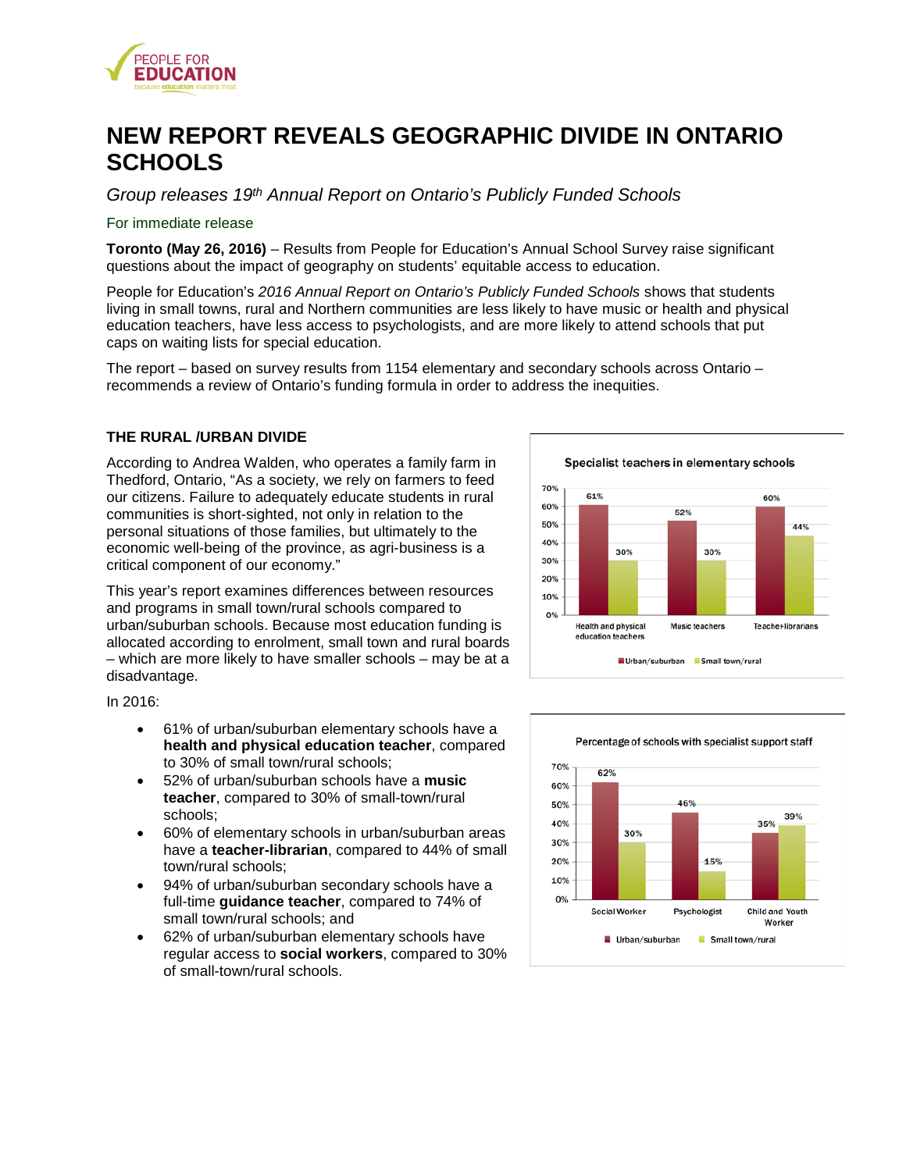

# **NEW REPORT REVEALS GEOGRAPHIC DIVIDE IN ONTARIO SCHOOLS**

*Group releases 19th Annual Report on Ontario's Publicly Funded Schools* 

#### For immediate release

**Toronto (May 26, 2016)** – Results from People for Education's Annual School Survey raise significant questions about the impact of geography on students' equitable access to education.

People for Education's *2016 Annual Report on Ontario's Publicly Funded Schools* shows that students living in small towns, rural and Northern communities are less likely to have music or health and physical education teachers, have less access to psychologists, and are more likely to attend schools that put caps on waiting lists for special education.

The report – based on survey results from 1154 elementary and secondary schools across Ontario – recommends a review of Ontario's funding formula in order to address the inequities.

### **THE RURAL /URBAN DIVIDE**

According to Andrea Walden, who operates a family farm in Thedford, Ontario, "As a society, we rely on farmers to feed our citizens. Failure to adequately educate students in rural communities is short-sighted, not only in relation to the personal situations of those families, but ultimately to the economic well-being of the province, as agri-business is a critical component of our economy."

This year's report examines differences between resources and programs in small town/rural schools compared to urban/suburban schools. Because most education funding is allocated according to enrolment, small town and rural boards – which are more likely to have smaller schools – may be at a disadvantage.

In 2016:

- 61% of urban/suburban elementary schools have a **health and physical education teacher**, compared to 30% of small town/rural schools;
- 52% of urban/suburban schools have a **music teacher**, compared to 30% of small-town/rural schools;
- 60% of elementary schools in urban/suburban areas have a **teacher-librarian**, compared to 44% of small town/rural schools;
- 94% of urban/suburban secondary schools have a full-time **guidance teacher**, compared to 74% of small town/rural schools; and
- 62% of urban/suburban elementary schools have regular access to **social workers**, compared to 30% of small-town/rural schools.



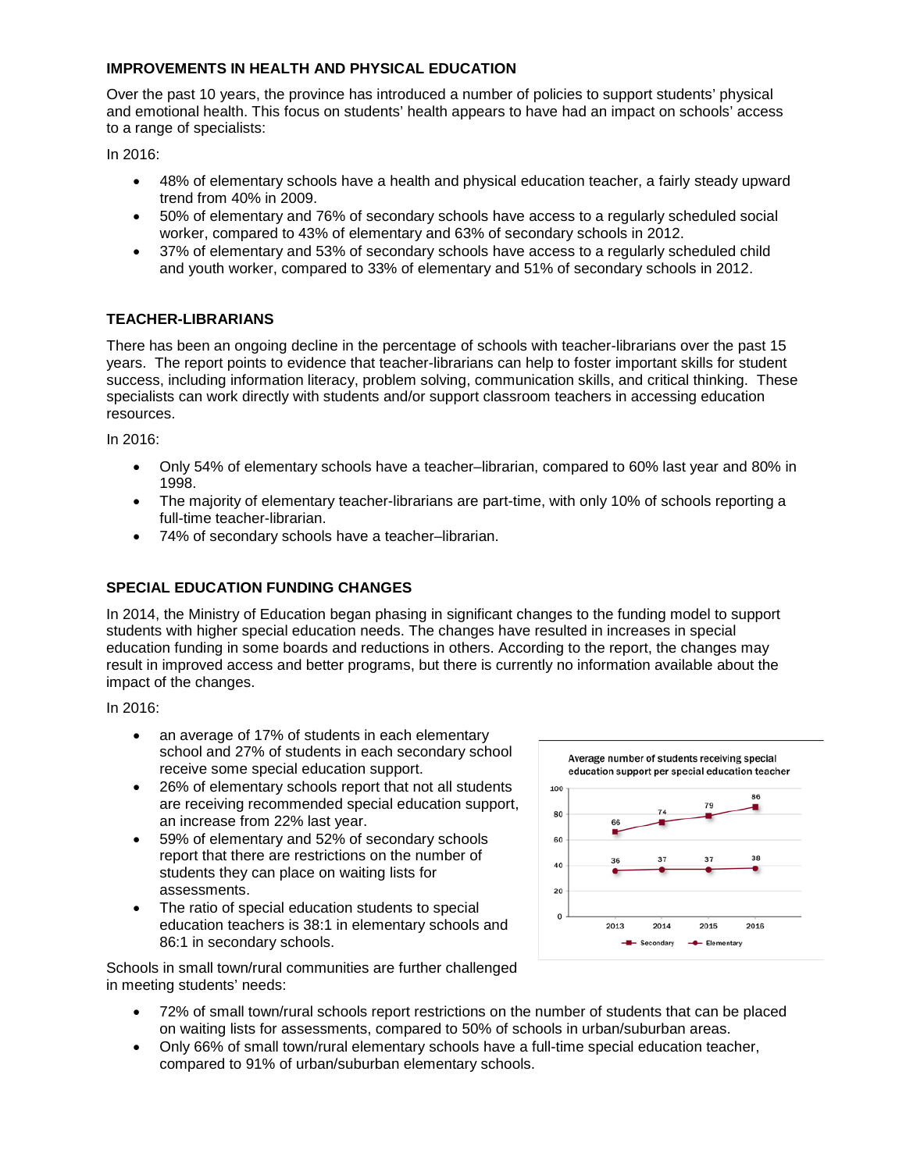# **IMPROVEMENTS IN HEALTH AND PHYSICAL EDUCATION**

Over the past 10 years, the province has introduced a number of policies to support students' physical and emotional health. This focus on students' health appears to have had an impact on schools' access to a range of specialists:

In 2016:

- 48% of elementary schools have a health and physical education teacher, a fairly steady upward trend from 40% in 2009.
- 50% of elementary and 76% of secondary schools have access to a regularly scheduled social worker, compared to 43% of elementary and 63% of secondary schools in 2012.
- 37% of elementary and 53% of secondary schools have access to a regularly scheduled child and youth worker, compared to 33% of elementary and 51% of secondary schools in 2012.

# **TEACHER-LIBRARIANS**

There has been an ongoing decline in the percentage of schools with teacher-librarians over the past 15 years. The report points to evidence that teacher-librarians can help to foster important skills for student success, including information literacy, problem solving, communication skills, and critical thinking. These specialists can work directly with students and/or support classroom teachers in accessing education resources.

In 2016:

- Only 54% of elementary schools have a teacher–librarian, compared to 60% last year and 80% in 1998.
- The majority of elementary teacher-librarians are part-time, with only 10% of schools reporting a full-time teacher-librarian.
- 74% of secondary schools have a teacher–librarian.

## **SPECIAL EDUCATION FUNDING CHANGES**

In 2014, the Ministry of Education began phasing in significant changes to the funding model to support students with higher special education needs. The changes have resulted in increases in special education funding in some boards and reductions in others. According to the report, the changes may result in improved access and better programs, but there is currently no information available about the impact of the changes.

In 2016:

- an average of 17% of students in each elementary school and 27% of students in each secondary school receive some special education support.
- 26% of elementary schools report that not all students are receiving recommended special education support, an increase from 22% last year.
- 59% of elementary and 52% of secondary schools report that there are restrictions on the number of students they can place on waiting lists for assessments.
- The ratio of special education students to special education teachers is 38:1 in elementary schools and 86:1 in secondary schools.



Schools in small town/rural communities are further challenged in meeting students' needs:

- 72% of small town/rural schools report restrictions on the number of students that can be placed on waiting lists for assessments, compared to 50% of schools in urban/suburban areas.
- Only 66% of small town/rural elementary schools have a full-time special education teacher, compared to 91% of urban/suburban elementary schools.